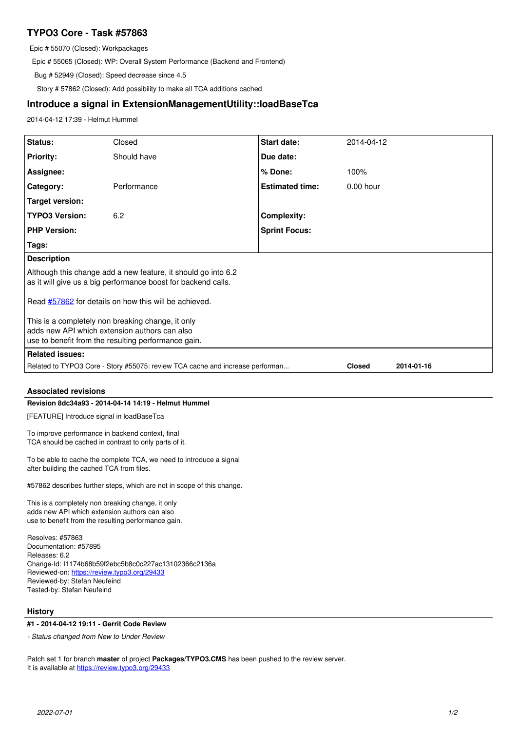# **TYPO3 Core - Task #57863**

Epic # 55070 (Closed): Workpackages

Epic # 55065 (Closed): WP: Overall System Performance (Backend and Frontend)

Bug # 52949 (Closed): Speed decrease since 4.5

Story # 57862 (Closed): Add possibility to make all TCA additions cached

## **Introduce a signal in ExtensionManagementUtility::loadBaseTca**

2014-04-12 17:39 - Helmut Hummel

| Status:                                                                                                                                                   | Closed      | Start date:            | 2014-04-12    |            |
|-----------------------------------------------------------------------------------------------------------------------------------------------------------|-------------|------------------------|---------------|------------|
| <b>Priority:</b>                                                                                                                                          | Should have | Due date:              |               |            |
| Assignee:                                                                                                                                                 |             | % Done:                | 100%          |            |
| Category:                                                                                                                                                 | Performance | <b>Estimated time:</b> | $0.00$ hour   |            |
| <b>Target version:</b>                                                                                                                                    |             |                        |               |            |
| <b>TYPO3 Version:</b>                                                                                                                                     | 6.2         | <b>Complexity:</b>     |               |            |
| <b>PHP Version:</b>                                                                                                                                       |             | <b>Sprint Focus:</b>   |               |            |
| Tags:                                                                                                                                                     |             |                        |               |            |
| <b>Description</b>                                                                                                                                        |             |                        |               |            |
| Although this change add a new feature, it should go into 6.2<br>as it will give us a big performance boost for backend calls.                            |             |                        |               |            |
| Read #57862 for details on how this will be achieved.                                                                                                     |             |                        |               |            |
| This is a completely non breaking change, it only<br>adds new API which extension authors can also<br>use to benefit from the resulting performance gain. |             |                        |               |            |
| <b>Related issues:</b>                                                                                                                                    |             |                        |               |            |
| Related to TYPO3 Core - Story #55075: review TCA cache and increase performan                                                                             |             |                        | <b>Closed</b> | 2014-01-16 |
| <b>Associated revisions</b>                                                                                                                               |             |                        |               |            |
| Revision 8dc34a93 - 2014-04-14 14:19 - Helmut Hummel                                                                                                      |             |                        |               |            |
| [FEATURE] Introduce signal in loadBaseTca                                                                                                                 |             |                        |               |            |
| To improve performance in backend context, final                                                                                                          |             |                        |               |            |

TCA should be cached in contrast to only parts of it.

To be able to cache the complete TCA, we need to introduce a signal after building the cached TCA from files.

#57862 describes further steps, which are not in scope of this change.

This is a completely non breaking change, it only adds new API which extension authors can also use to benefit from the resulting performance gain.

Resolves: #57863 Documentation: #57895 Releases: 6.2 Change-Id: I1174b68b59f2ebc5b8c0c227ac13102366c2136a Reviewed-on:<https://review.typo3.org/29433> Reviewed-by: Stefan Neufeind Tested-by: Stefan Neufeind

# **History**

# **#1 - 2014-04-12 19:11 - Gerrit Code Review**

*- Status changed from New to Under Review*

Patch set 1 for branch **master** of project **Packages/TYPO3.CMS** has been pushed to the review server. It is available at <https://review.typo3.org/29433>